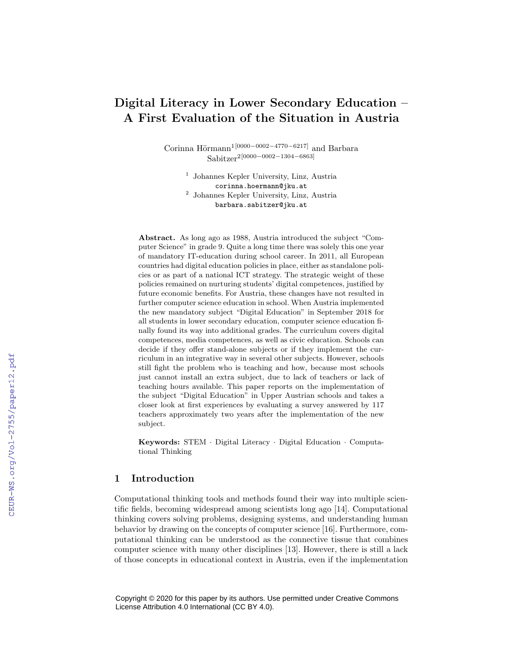# Digital Literacy in Lower Secondary Education – A First Evaluation of the Situation in Austria

Corinna Hörmann<sup>1[0000–0002–4770–6217]</sup> and Barbara Sabitzer2[0000−0002−1304−6863]

> 1 Johannes Kepler University, Linz, Austria corinna.hoermann@jku.at 2 Johannes Kepler University, Linz, Austria barbara.sabitzer@jku.at

Abstract. As long ago as 1988, Austria introduced the subject "Computer Science" in grade 9. Quite a long time there was solely this one year of mandatory IT-education during school career. In 2011, all European countries had digital education policies in place, either as standalone policies or as part of a national ICT strategy. The strategic weight of these policies remained on nurturing students' digital competences, justified by future economic benefits. For Austria, these changes have not resulted in further computer science education in school. When Austria implemented the new mandatory subject "Digital Education" in September 2018 for all students in lower secondary education, computer science education finally found its way into additional grades. The curriculum covers digital competences, media competences, as well as civic education. Schools can decide if they offer stand-alone subjects or if they implement the curriculum in an integrative way in several other subjects. However, schools still fight the problem who is teaching and how, because most schools just cannot install an extra subject, due to lack of teachers or lack of teaching hours available. This paper reports on the implementation of the subject "Digital Education" in Upper Austrian schools and takes a closer look at first experiences by evaluating a survey answered by 117 teachers approximately two years after the implementation of the new subject.

Keywords: STEM · Digital Literacy · Digital Education · Computational Thinking

### 1 Introduction

Computational thinking tools and methods found their way into multiple scientific fields, becoming widespread among scientists long ago [14]. Computational thinking covers solving problems, designing systems, and understanding human behavior by drawing on the concepts of computer science [16]. Furthermore, computational thinking can be understood as the connective tissue that combines computer science with many other disciplines [13]. However, there is still a lack of those concepts in educational context in Austria, even if the implementation

Copyright © 2020 for this paper by its authors. Use permitted under Creative Commons License Attribution 4.0 International (CC BY 4.0).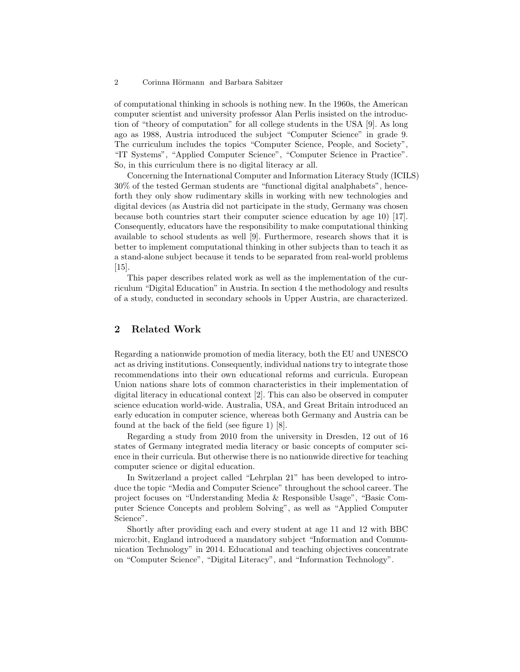#### 2 Corinna Hörmann and Barbara Sabitzer

of computational thinking in schools is nothing new. In the 1960s, the American computer scientist and university professor Alan Perlis insisted on the introduction of "theory of computation" for all college students in the USA [9]. As long ago as 1988, Austria introduced the subject "Computer Science" in grade 9. The curriculum includes the topics "Computer Science, People, and Society", "IT Systems", "Applied Computer Science", "Computer Science in Practice". So, in this curriculum there is no digital literacy ar all.

Concerning the International Computer and Information Literacy Study (ICILS) 30% of the tested German students are "functional digital analphabets", henceforth they only show rudimentary skills in working with new technologies and digital devices (as Austria did not participate in the study, Germany was chosen because both countries start their computer science education by age 10) [17]. Consequently, educators have the responsibility to make computational thinking available to school students as well [9]. Furthermore, research shows that it is better to implement computational thinking in other subjects than to teach it as a stand-alone subject because it tends to be separated from real-world problems [15].

This paper describes related work as well as the implementation of the curriculum "Digital Education" in Austria. In section 4 the methodology and results of a study, conducted in secondary schools in Upper Austria, are characterized.

### 2 Related Work

Regarding a nationwide promotion of media literacy, both the EU and UNESCO act as driving institutions. Consequently, individual nations try to integrate those recommendations into their own educational reforms and curricula. European Union nations share lots of common characteristics in their implementation of digital literacy in educational context [2]. This can also be observed in computer science education world-wide. Australia, USA, and Great Britain introduced an early education in computer science, whereas both Germany and Austria can be found at the back of the field (see figure 1) [8].

Regarding a study from 2010 from the university in Dresden, 12 out of 16 states of Germany integrated media literacy or basic concepts of computer science in their curricula. But otherwise there is no nationwide directive for teaching computer science or digital education.

In Switzerland a project called "Lehrplan 21" has been developed to introduce the topic "Media and Computer Science" throughout the school career. The project focuses on "Understanding Media & Responsible Usage", "Basic Computer Science Concepts and problem Solving", as well as "Applied Computer Science".

Shortly after providing each and every student at age 11 and 12 with BBC micro:bit, England introduced a mandatory subject "Information and Communication Technology" in 2014. Educational and teaching objectives concentrate on "Computer Science", "Digital Literacy", and "Information Technology".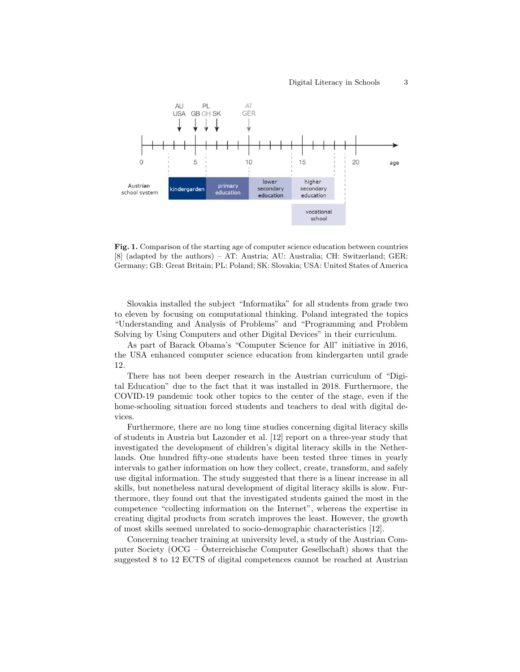

Fig. 1. Comparison of the starting age of computer science education between countries [8] (adapted by the authors) – AT: Austria; AU: Australia; CH: Switzerland; GER: Germany; GB: Great Britain; PL: Poland; SK: Slovakia; USA: United States of America

Slovakia installed the subject "Informatika" for all students from grade two to eleven by focusing on computational thinking. Poland integrated the topics "Understanding and Analysis of Problems" and "Programming and Problem Solving by Using Computers and other Digital Devices" in their curriculum.

As part of Barack Obama's "Computer Science for All" initiative in 2016, the USA enhanced computer science education from kindergarten until grade 12.

There has not been deeper research in the Austrian curriculum of "Digital Education" due to the fact that it was installed in 2018. Furthermore, the COVID-19 pandemic took other topics to the center of the stage, even if the home-schooling situation forced students and teachers to deal with digital devices.

Furthermore, there are no long time studies concerning digital literacy skills of students in Austria but Lazonder et al. [12] report on a three-year study that investigated the development of children's digital literacy skills in the Netherlands. One hundred fifty-one students have been tested three times in yearly intervals to gather information on how they collect, create, transform, and safely use digital information. The study suggested that there is a linear increase in all skills, but nonetheless natural development of digital literacy skills is slow. Furthermore, they found out that the investigated students gained the most in the competence "collecting information on the Internet", whereas the expertise in creating digital products from scratch improves the least. However, the growth of most skills seemed unrelated to socio-demographic characteristics [12].

Concerning teacher training at university level, a study of the Austrian Computer Society ( $OCG - Osterreichische Computer Gesellschaft$ ) shows that the suggested 8 to 12 ECTS of digital competences cannot be reached at Austrian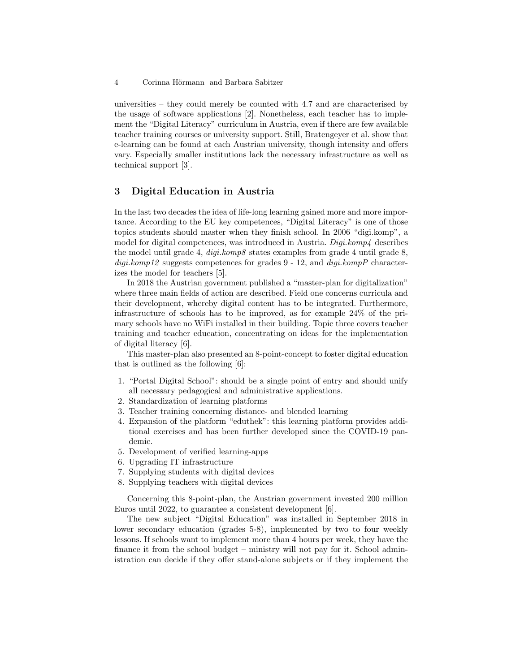universities – they could merely be counted with 4.7 and are characterised by the usage of software applications [2]. Nonetheless, each teacher has to implement the "Digital Literacy" curriculum in Austria, even if there are few available teacher training courses or university support. Still, Bratengeyer et al. show that e-learning can be found at each Austrian university, though intensity and offers vary. Especially smaller institutions lack the necessary infrastructure as well as technical support [3].

# 3 Digital Education in Austria

In the last two decades the idea of life-long learning gained more and more importance. According to the EU key competences, "Digital Literacy" is one of those topics students should master when they finish school. In 2006 "digi.komp", a model for digital competences, was introduced in Austria.  $Diq$ *i.komp4* describes the model until grade 4,  $\text{digi.komp8}$  states examples from grade 4 until grade 8,  $diqi.komp12$  suggests competences for grades 9 - 12, and  $diqi.kompP$  characterizes the model for teachers [5].

In 2018 the Austrian government published a "master-plan for digitalization" where three main fields of action are described. Field one concerns curricula and their development, whereby digital content has to be integrated. Furthermore, infrastructure of schools has to be improved, as for example 24% of the primary schools have no WiFi installed in their building. Topic three covers teacher training and teacher education, concentrating on ideas for the implementation of digital literacy [6].

This master-plan also presented an 8-point-concept to foster digital education that is outlined as the following [6]:

- 1. "Portal Digital School": should be a single point of entry and should unify all necessary pedagogical and administrative applications.
- 2. Standardization of learning platforms
- 3. Teacher training concerning distance- and blended learning
- 4. Expansion of the platform "eduthek": this learning platform provides additional exercises and has been further developed since the COVID-19 pandemic.
- 5. Development of verified learning-apps
- 6. Upgrading IT infrastructure
- 7. Supplying students with digital devices
- 8. Supplying teachers with digital devices

Concerning this 8-point-plan, the Austrian government invested 200 million Euros until 2022, to guarantee a consistent development [6].

The new subject "Digital Education" was installed in September 2018 in lower secondary education (grades 5-8), implemented by two to four weekly lessons. If schools want to implement more than 4 hours per week, they have the finance it from the school budget – ministry will not pay for it. School administration can decide if they offer stand-alone subjects or if they implement the

<sup>4</sup> Corinna Hörmann and Barbara Sabitzer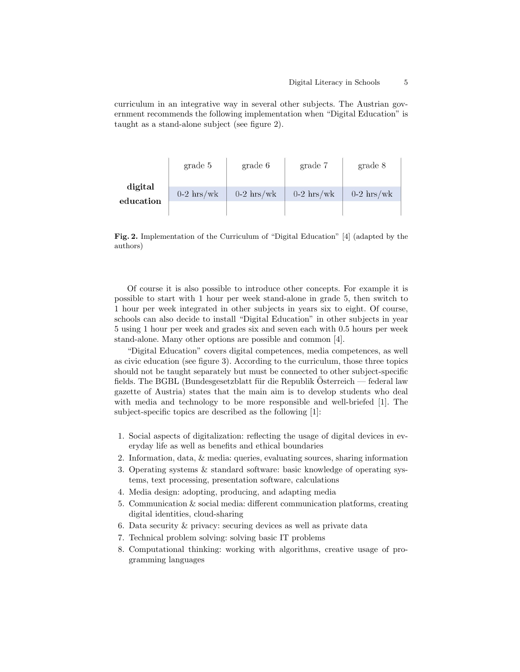curriculum in an integrative way in several other subjects. The Austrian government recommends the following implementation when "Digital Education" is taught as a stand-alone subject (see figure 2).

|                      | grade 5      | grade 6      | grade 7      | grade 8      |
|----------------------|--------------|--------------|--------------|--------------|
| digital<br>education | $0-2$ hrs/wk | $0-2$ hrs/wk | $0-2$ hrs/wk | $0-2$ hrs/wk |

Fig. 2. Implementation of the Curriculum of "Digital Education" [4] (adapted by the authors)

Of course it is also possible to introduce other concepts. For example it is possible to start with 1 hour per week stand-alone in grade 5, then switch to 1 hour per week integrated in other subjects in years six to eight. Of course, schools can also decide to install "Digital Education" in other subjects in year 5 using 1 hour per week and grades six and seven each with 0.5 hours per week stand-alone. Many other options are possible and common [4].

"Digital Education" covers digital competences, media competences, as well as civic education (see figure 3). According to the curriculum, those three topics should not be taught separately but must be connected to other subject-specific fields. The BGBL (Bundesgesetzblatt für die Republik Österreich — federal law gazette of Austria) states that the main aim is to develop students who deal with media and technology to be more responsible and well-briefed [1]. The subject-specific topics are described as the following [1]:

- 1. Social aspects of digitalization: reflecting the usage of digital devices in everyday life as well as benefits and ethical boundaries
- 2. Information, data, & media: queries, evaluating sources, sharing information
- 3. Operating systems & standard software: basic knowledge of operating systems, text processing, presentation software, calculations
- 4. Media design: adopting, producing, and adapting media
- 5. Communication & social media: different communication platforms, creating digital identities, cloud-sharing
- 6. Data security & privacy: securing devices as well as private data
- 7. Technical problem solving: solving basic IT problems
- 8. Computational thinking: working with algorithms, creative usage of programming languages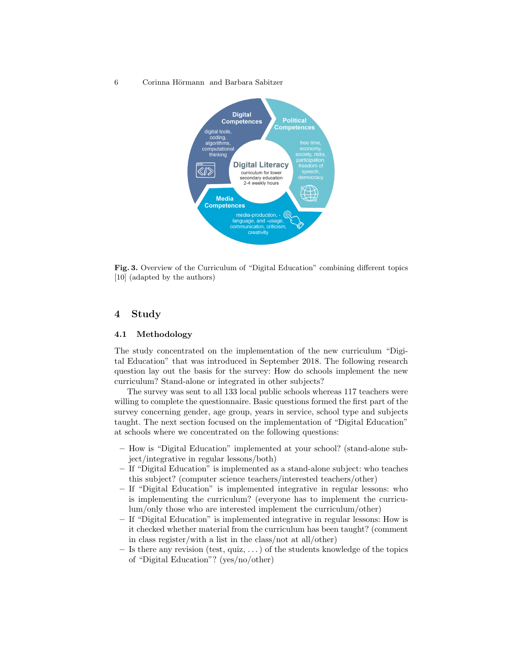6 Corinna Hörmann and Barbara Sabitzer



Fig. 3. Overview of the Curriculum of "Digital Education" combining different topics [10] (adapted by the authors)

### 4 Study

### 4.1 Methodology

The study concentrated on the implementation of the new curriculum "Digital Education" that was introduced in September 2018. The following research question lay out the basis for the survey: How do schools implement the new curriculum? Stand-alone or integrated in other subjects?

The survey was sent to all 133 local public schools whereas 117 teachers were willing to complete the questionnaire. Basic questions formed the first part of the survey concerning gender, age group, years in service, school type and subjects taught. The next section focused on the implementation of "Digital Education" at schools where we concentrated on the following questions:

- How is "Digital Education" implemented at your school? (stand-alone subject/integrative in regular lessons/both)
- If "Digital Education" is implemented as a stand-alone subject: who teaches this subject? (computer science teachers/interested teachers/other)
- If "Digital Education" is implemented integrative in regular lessons: who is implementing the curriculum? (everyone has to implement the curriculum/only those who are interested implement the curriculum/other)
- If "Digital Education" is implemented integrative in regular lessons: How is it checked whether material from the curriculum has been taught? (comment in class register/with a list in the class/not at all/other)
- $-$  Is there any revision (test, quiz, ...) of the students knowledge of the topics of "Digital Education"? (yes/no/other)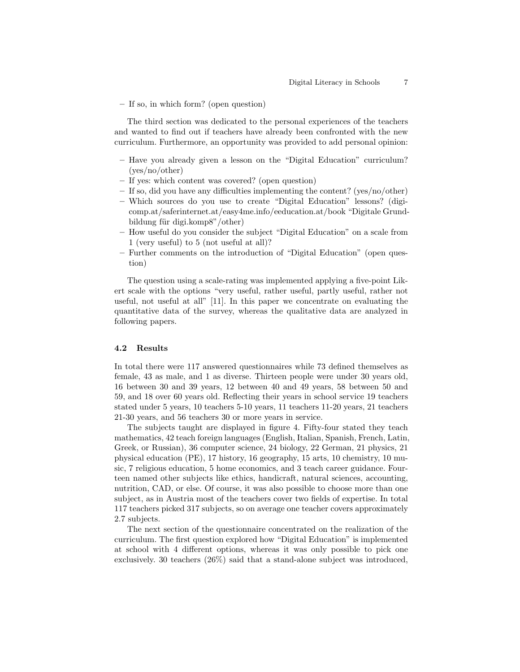– If so, in which form? (open question)

The third section was dedicated to the personal experiences of the teachers and wanted to find out if teachers have already been confronted with the new curriculum. Furthermore, an opportunity was provided to add personal opinion:

- Have you already given a lesson on the "Digital Education" curriculum? (yes/no/other)
- If yes: which content was covered? (open question)
- If so, did you have any difficulties implementing the content? (yes/no/other)
- Which sources do you use to create "Digital Education" lessons? (digicomp.at/saferinternet.at/easy4me.info/eeducation.at/book "Digitale Grundbildung für digi.komp8"/other)
- How useful do you consider the subject "Digital Education" on a scale from 1 (very useful) to 5 (not useful at all)?
- Further comments on the introduction of "Digital Education" (open question)

The question using a scale-rating was implemented applying a five-point Likert scale with the options "very useful, rather useful, partly useful, rather not useful, not useful at all" [11]. In this paper we concentrate on evaluating the quantitative data of the survey, whereas the qualitative data are analyzed in following papers.

#### 4.2 Results

In total there were 117 answered questionnaires while 73 defined themselves as female, 43 as male, and 1 as diverse. Thirteen people were under 30 years old, 16 between 30 and 39 years, 12 between 40 and 49 years, 58 between 50 and 59, and 18 over 60 years old. Reflecting their years in school service 19 teachers stated under 5 years, 10 teachers 5-10 years, 11 teachers 11-20 years, 21 teachers 21-30 years, and 56 teachers 30 or more years in service.

The subjects taught are displayed in figure 4. Fifty-four stated they teach mathematics, 42 teach foreign languages (English, Italian, Spanish, French, Latin, Greek, or Russian), 36 computer science, 24 biology, 22 German, 21 physics, 21 physical education (PE), 17 history, 16 geography, 15 arts, 10 chemistry, 10 music, 7 religious education, 5 home economics, and 3 teach career guidance. Fourteen named other subjects like ethics, handicraft, natural sciences, accounting, nutrition, CAD, or else. Of course, it was also possible to choose more than one subject, as in Austria most of the teachers cover two fields of expertise. In total 117 teachers picked 317 subjects, so on average one teacher covers approximately 2.7 subjects.

The next section of the questionnaire concentrated on the realization of the curriculum. The first question explored how "Digital Education" is implemented at school with 4 different options, whereas it was only possible to pick one exclusively. 30 teachers (26%) said that a stand-alone subject was introduced,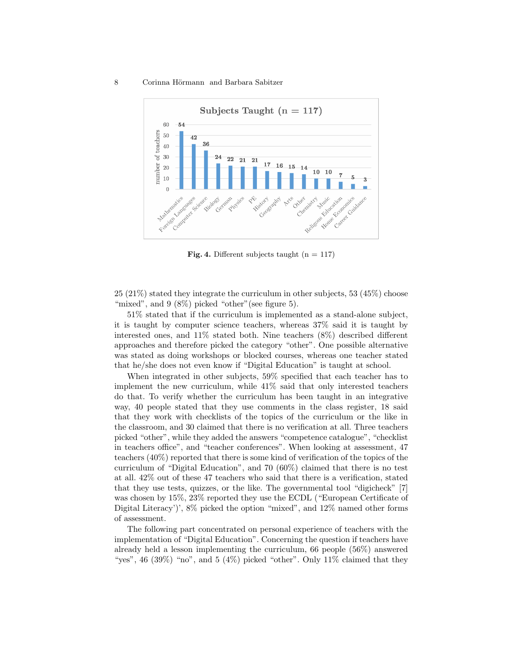#### 8 Corinna Hörmann and Barbara Sabitzer



Fig. 4. Different subjects taught  $(n = 117)$ 

25 (21%) stated they integrate the curriculum in other subjects, 53 (45%) choose "mixed", and  $9(8\%)$  picked "other" (see figure 5).

51% stated that if the curriculum is implemented as a stand-alone subject, it is taught by computer science teachers, whereas 37% said it is taught by interested ones, and 11% stated both. Nine teachers (8%) described different approaches and therefore picked the category "other". One possible alternative was stated as doing workshops or blocked courses, whereas one teacher stated that he/she does not even know if "Digital Education" is taught at school.

When integrated in other subjects, 59% specified that each teacher has to implement the new curriculum, while 41% said that only interested teachers do that. To verify whether the curriculum has been taught in an integrative way, 40 people stated that they use comments in the class register, 18 said that they work with checklists of the topics of the curriculum or the like in the classroom, and 30 claimed that there is no verification at all. Three teachers picked "other", while they added the answers "competence catalogue", "checklist in teachers office", and "teacher conferences". When looking at assessment, 47 teachers (40%) reported that there is some kind of verification of the topics of the curriculum of "Digital Education", and 70 (60%) claimed that there is no test at all. 42% out of these 47 teachers who said that there is a verification, stated that they use tests, quizzes, or the like. The governmental tool "digicheck" [7] was chosen by 15%, 23% reported they use the ECDL ("European Certificate of Digital Literacy')', 8% picked the option "mixed", and 12% named other forms of assessment.

The following part concentrated on personal experience of teachers with the implementation of "Digital Education". Concerning the question if teachers have already held a lesson implementing the curriculum, 66 people (56%) answered "yes", 46 (39%) "no", and 5 (4%) picked "other". Only  $11\%$  claimed that they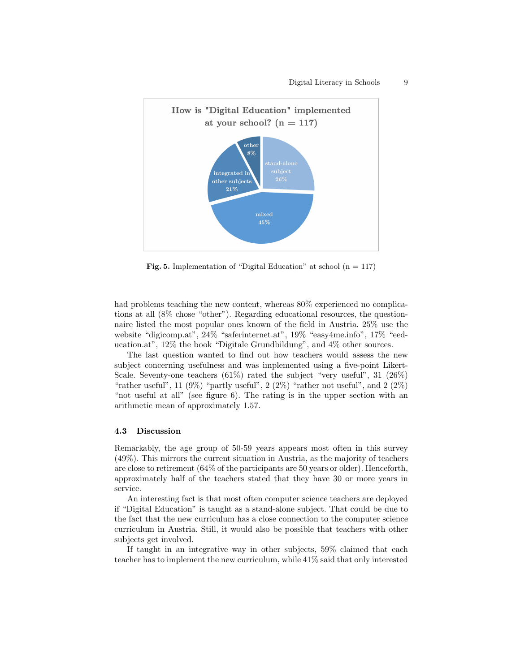

Fig. 5. Implementation of "Digital Education" at school  $(n = 117)$ 

had problems teaching the new content, whereas  $80\%$  experienced no complications at all (8% chose "other"). Regarding educational resources, the questionnaire listed the most popular ones known of the field in Austria. 25% use the website "digicomp.at", 24% "saferinternet.at", 19% "easy4me.info", 17% "eeducation.at", 12% the book "Digitale Grundbildung", and 4% other sources.

The last question wanted to find out how teachers would assess the new subject concerning usefulness and was implemented using a five-point Likert-Scale. Seventy-one teachers  $(61\%)$  rated the subject "very useful", 31 (26%) "rather useful", 11 (9%) "partly useful", 2 (2%) "rather not useful", and 2 (2%) "not useful at all" (see figure 6). The rating is in the upper section with an arithmetic mean of approximately 1.57.

#### 4.3 Discussion

Remarkably, the age group of 50-59 years appears most often in this survey (49%). This mirrors the current situation in Austria, as the majority of teachers are close to retirement (64% of the participants are 50 years or older). Henceforth, approximately half of the teachers stated that they have 30 or more years in service.

An interesting fact is that most often computer science teachers are deployed if "Digital Education" is taught as a stand-alone subject. That could be due to the fact that the new curriculum has a close connection to the computer science curriculum in Austria. Still, it would also be possible that teachers with other subjects get involved.

If taught in an integrative way in other subjects, 59% claimed that each teacher has to implement the new curriculum, while 41% said that only interested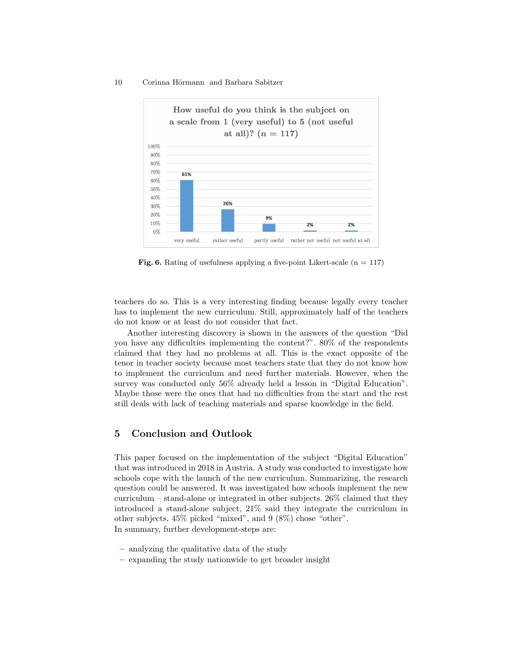#### 10 Corinna Hörmann and Barbara Sabitzer



Fig. 6. Rating of usefulness applying a five-point Likert-scale  $(n = 117)$ 

teachers do so. This is a very interesting finding because legally every teacher has to implement the new curriculum. Still, approximately half of the teachers do not know or at least do not consider that fact.

Another interesting discovery is shown in the answers of the question "Did you have any difficulties implementing the content?". 80% of the respondents claimed that they had no problems at all. This is the exact opposite of the tenor in teacher society because most teachers state that they do not know how to implement the curriculum and need further materials. However, when the survey was conducted only 56% already held a lesson in "Digital Education". Maybe those were the ones that had no difficulties from the start and the rest still deals with lack of teaching materials and sparse knowledge in the field.

### 5 Conclusion and Outlook

This paper focused on the implementation of the subject "Digital Education" that was introduced in 2018 in Austria. A study was conducted to investigate how schools cope with the launch of the new curriculum. Summarizing, the research question could be answered. It was investigated how schools implement the new curriculum – stand-alone or integrated in other subjects. 26% claimed that they introduced a stand-alone subject, 21% said they integrate the curriculum in other subjects, 45% picked "mixed", and 9 (8%) chose "other". In summary, further development-steps are:

- analyzing the qualitative data of the study
- expanding the study nationwide to get broader insight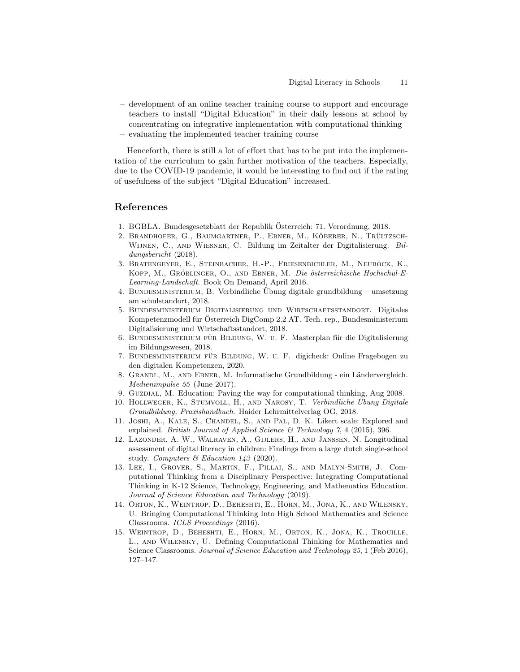- development of an online teacher training course to support and encourage teachers to install "Digital Education" in their daily lessons at school by concentrating on integrative implementation with computational thinking
- evaluating the implemented teacher training course

Henceforth, there is still a lot of effort that has to be put into the implementation of the curriculum to gain further motivation of the teachers. Especially, due to the COVID-19 pandemic, it would be interesting to find out if the rating of usefulness of the subject "Digital Education" increased.

# References

- 1. BGBLA. Bundesgesetzblatt der Republik Osterreich: 71. Verordnung, 2018. ¨
- 2. BRANDHOFER, G., BAUMGARTNER, P., EBNER, M., KÖBERER, N., TRÜLTZSCH-Wijnen, C., and Wiesner, C. Bildung im Zeitalter der Digitalisierung. Bildungsbericht (2018).
- 3. BRATENGEYER, E., STEINBACHER, H.-P., FRIESENBICHLER, M., NEUBÖCK, K., KOPP, M., GRÖBLINGER, O., AND EBNER, M. Die österreichische Hochschul-E-Learning-Landschaft. Book On Demand, April 2016.
- 4. BUNDESMINISTERIUM, B. Verbindliche Übung digitale grundbildung umsetzung am schulstandort, 2018.
- 5. Bundesministerium Digitalisierung und Wirtschaftsstandort. Digitales Kompetenzmodell für Österreich DigComp 2.2 AT. Tech. rep., Bundesministerium Digitalisierung und Wirtschaftsstandort, 2018.
- 6. BUNDESMINISTERIUM FÜR BILDUNG, W. U. F. Masterplan für die Digitalisierung im Bildungswesen, 2018.
- 7. BUNDESMINISTERIUM FÜR BILDUNG, W. U. F. digicheck: Online Fragebogen zu den digitalen Kompetenzen, 2020.
- 8. GRANDL, M., AND EBNER, M. Informatische Grundbildung ein Ländervergleich. Medienimpulse 55 (June 2017).
- 9. GUZDIAL, M. Education: Paving the way for computational thinking, Aug 2008.
- 10. HOLLWEGER, K., STUMVOLL, H., AND NAROSY, T. Verbindliche Übung Digitale Grundbildung, Praxishandbuch. Haider Lehrmittelverlag OG, 2018.
- 11. Joshi, A., Kale, S., Chandel, S., and Pal, D. K. Likert scale: Explored and explained. British Journal of Applied Science & Technology 7, 4 (2015), 396.
- 12. Lazonder, A. W., Walraven, A., Gijlers, H., and Janssen, N. Longitudinal assessment of digital literacy in children: Findings from a large dutch single-school study. Computers  $\mathcal B$  Education 143 (2020).
- 13. Lee, I., Grover, S., Martin, F., Pillai, S., and Malyn-Smith, J. Computational Thinking from a Disciplinary Perspective: Integrating Computational Thinking in K-12 Science, Technology, Engineering, and Mathematics Education. Journal of Science Education and Technology (2019).
- 14. Orton, K., Weintrop, D., Beheshti, E., Horn, M., Jona, K., and Wilensky, U. Bringing Computational Thinking Into High School Mathematics and Science Classrooms. ICLS Proceedings (2016).
- 15. Weintrop, D., Beheshti, E., Horn, M., Orton, K., Jona, K., Trouille, L., and Wilensky, U. Defining Computational Thinking for Mathematics and Science Classrooms. Journal of Science Education and Technology 25, 1 (Feb 2016), 127–147.